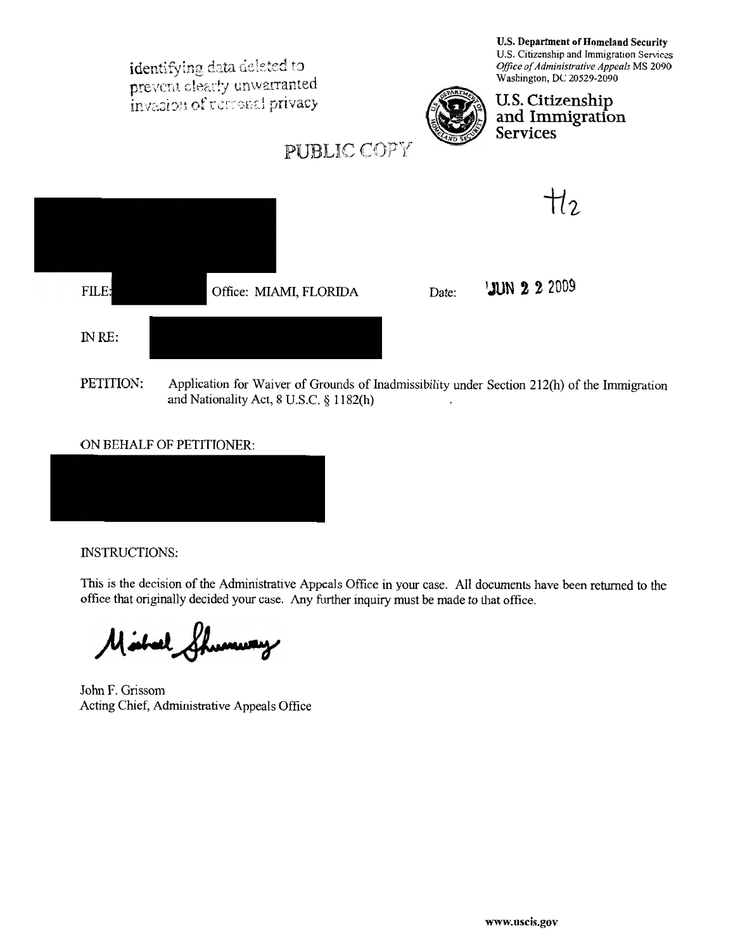

## ON BEHALF OF PETITIONER:

INSTRUCTIONS:

This is the decision of the Administrative Appeals Office in your case. All documents have been returned to the office that originally decided your case. Any further inquiry must be made to that office.

Mahal mury

John F. Grissom Acting Chief, Administrative Appeals Office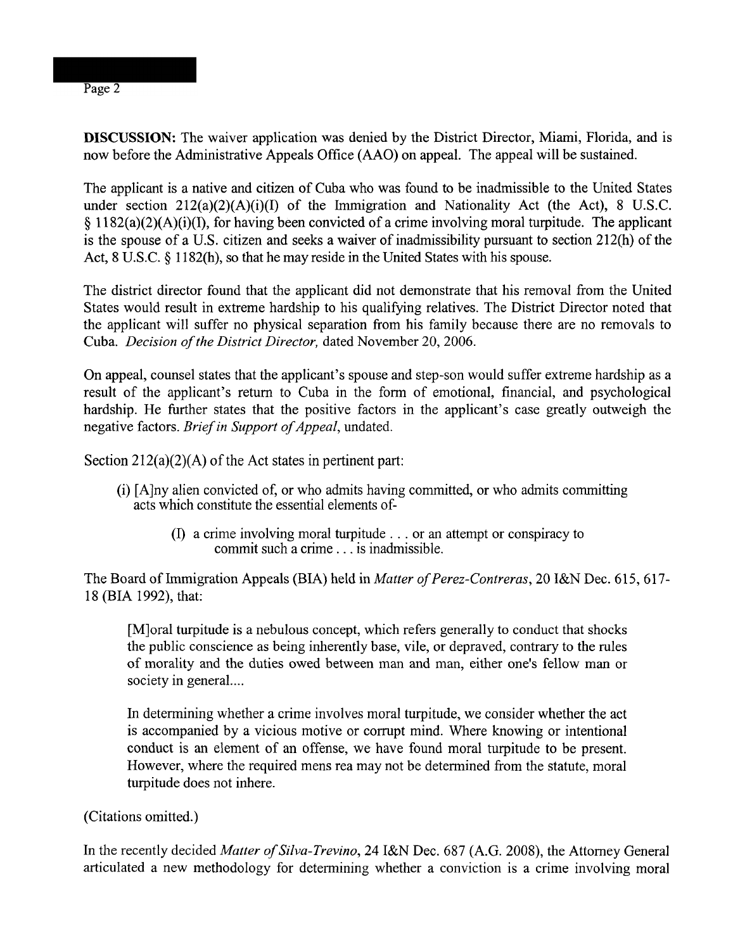## DISCUSSION: The waiver application was denied by the District Director, Miami, Florida, and is now before the Administrative Appeals Office (AAO) on appeal. The appeal will be sustained.

The applicant is a native and citizen of Cuba who was found to be inadmissible to the United States under section  $212(a)(2)(A)(i)(I)$  of the Immigration and Nationality Act (the Act), 8 U.S.C. *5* 11 82(a)(2)(A)(i)(I), for having been convicted of a crime involving moral turpitude. The applicant is the spouse of a U.S. citizen and seeks a waiver of inadmissibility pursuant to section 212(h) of the Act, 8 U.S.C. § 1182(h), so that he may reside in the United States with his spouse.

The district director found that the applicant did not demonstrate that his removal from the United States would result in extreme hardship to his qualifying relatives. The District Director noted that the applicant will suffer no physical separation from his family because there are no removals to Cuba. Decision of the District Director, dated November 20, 2006.

On appeal, counsel states that the applicant's spouse and step-son would suffer extreme hardship as a result of the applicant's return to Cuba in the form of emotional, financial, and psychological hardship. He further states that the positive factors in the applicant's case greatly outweigh the negative factors. Brief in Support of Appeal, undated.

Section  $212(a)(2)(A)$  of the Act states in pertinent part:

- (i) [Alny alien convicted of, or who admits having committed, or who admits committing acts which constitute the essential elements of-
	- (I) a crime involving moral turpitude . . . or an attempt or conspiracy to commit such a crime . . . is inadmissible.

The Board of Immigration Appeals **(BIA)** held in Matter of Perez-Contreras, 20 I&N Dec. 615,617- 18 (BIA 1992), that:

[M] oral turpitude is a nebulous concept, which refers generally to conduct that shocks the public conscience as being inherently base, vile, or depraved, contrary to the rules of morality and the duties owed between man and man, either one's fellow man or society in general....

In determining whether a crime involves moral turpitude, we consider whether the act is accompanied by a vicious motive or corrupt mind. Where knowing or intentional conduct is an element of an offense, we have found moral turpitude to be present. However, where the required mens rea may not be determined from the statute, moral turpitude does not inhere.

(Citations omitted.)

In the recently decided Matter of Silva-Trevino, 24 I&N Dec. 687 (A.G. 2008), the Attorney General articulated a new methodology for determining whether a conviction is a crime involving moral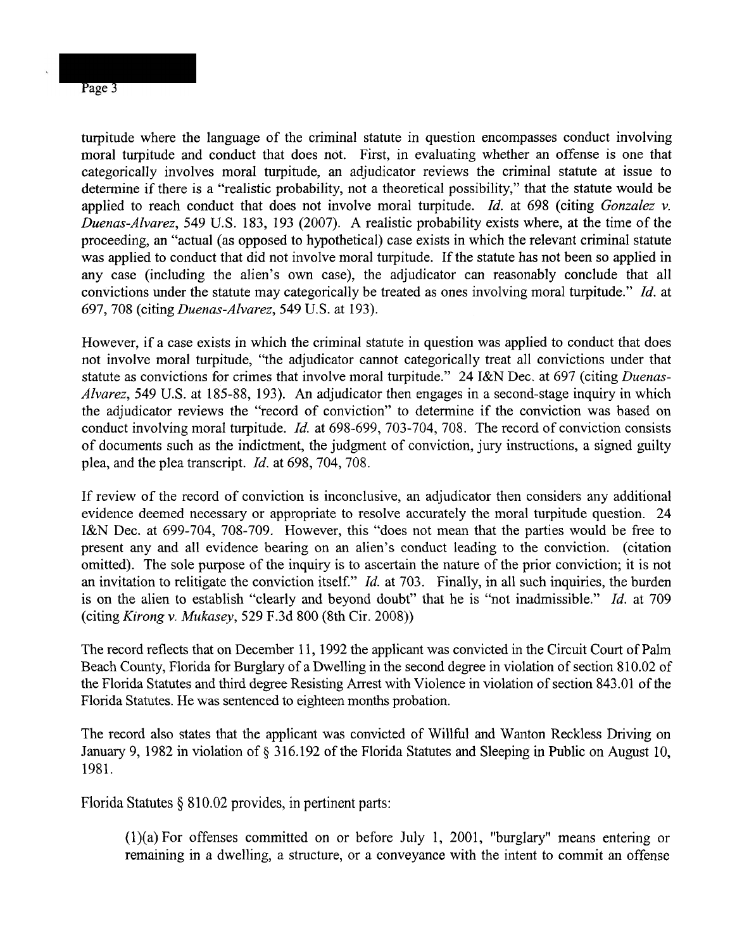turpitude where the language of the criminal statute in question encompasses conduct involving moral turpitude and conduct that does not. First, in evaluating whether an offense is one that categorically involves moral turpitude, an adjudicator reviews the criminal statute at issue to determine if there is a "realistic probability, not a theoretical possibility," that the statute would be applied to reach conduct that does not involve moral turpitude. *Id.* at 698 (citing Gonzalez v. Duenas-Alvarez, 549 U.S. 183, 193 (2007). A realistic probability exists where, at the time of the proceeding, an "actual (as opposed to hypothetical) case exists in which the relevant criminal statute was applied to conduct that did not involve moral turpitude. If the statute has not been so applied in any case (including the alien's own case), the adjudicator can reasonably conclude that all convictions under the statute may categorically be treated as ones involving moral turpitude." *Id.* at 697, 708 (citing Duenas-Alvarez, 549 U.S. at 193).

However, if a case exists in which the criminal statute in question was applied to conduct that does not involve moral turpitude, "the adjudicator cannot categorically treat all convictions under that statute as convictions for crimes that involve moral turpitude." 24 I&N Dec. at 697 (citing Duenas-Alvarez, 549 U.S. at 185-88, 193). An adjudicator then engages in a second-stage inquiry in which the adjudicator reviews the "record of conviction" to determine if the conviction was based on conduct involving moral turpitude. *Id.* at 698-699, 703-704, 708. The record of conviction consists of documents such as the indictment, the judgment of conviction, jury instructions, a signed guilty plea, and the plea transcript. *Id.* at 698, 704, 708.

If review of the record of conviction is inconclusive, an adjudicator then considers any additional evidence deemed necessary or appropriate to resolve accurately the moral turpitude question. 24 I&N Dec. at 699-704, 708-709. However, this "does not mean that the parties would be free to present any and all evidence bearing on an alien's conduct leading to the conviction. (citation omitted). The sole purpose of the inquiry is to ascertain the nature of the prior conviction; it is not an invitation to relitigate the conviction itself." *Id.* at 703. Finally, in all such inquiries, the burden is on the alien to establish "clearly and beyond doubt" that he is "not inadmissible." *Id.* at 709 (citing Kirong v. Mukasey, 529 F.3d 800 (8th Cir. 2008))

The record reflects that on December 11, 1992 the applicant was convicted in the Circuit Court of Palm Beach County, Florida for Burglary of a Dwelling in the second degree in violation of section 81 0.02 of the Florida Statutes and third degree Resisting Arrest with Violence in violation of section 843.01 of the Florida Statutes. He was sentenced to eighteen months probation.

The record also states that the applicant was convicted of Willful and Wanton Reckless Driving on January 9, 1982 in violation of *5* 3 16.192 of the Florida Statutes and Sleeping in Public on August 10, 1981.

Florida Statutes  $\S 810.02$  provides, in pertinent parts:

(l)(a) For offenses committed on or before July 1, 2001, "burglary" means entering or remaining in a dwelling, a structure, or a conveyance with the intent to commit an offense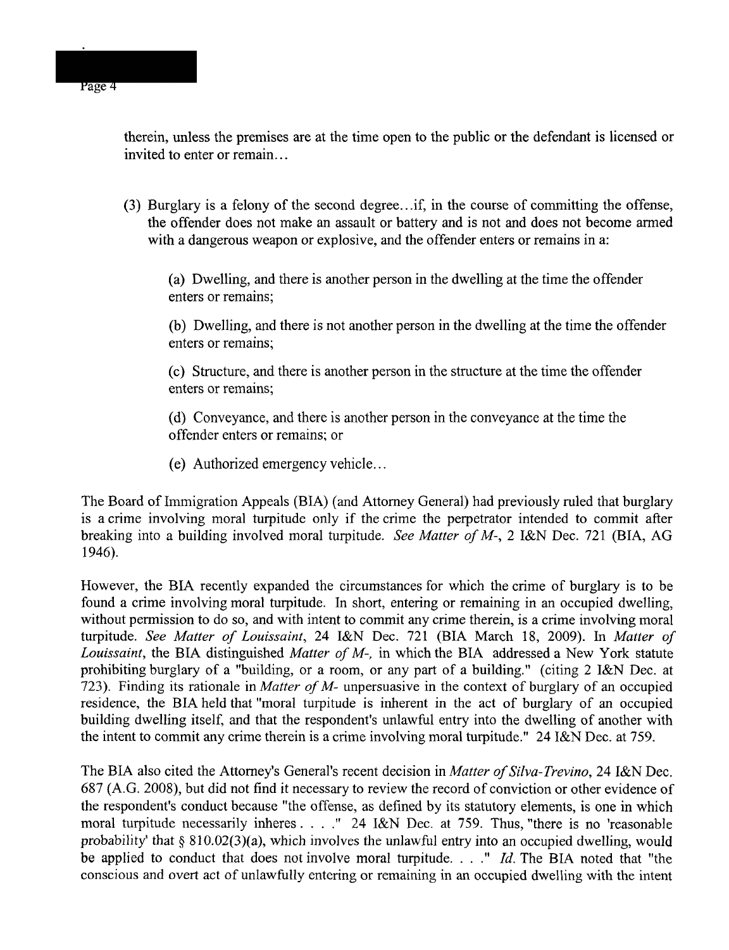therein, unless the premises are at the time open to the public or the defendant is licensed or invited to enter or remain.. .

(3) Burglary is a felony of the second degree.. .if, in the course of committing the offense, the offender does not make an assault or battery and is not and does not become armed with a dangerous weapon or explosive, and the offender enters or remains in a:

(a) Dwelling, and there is another person in the dwelling at the time the offender enters or remains;

(b) Dwelling, and there is not another person in the dwelling at the time the offender enters or remains;

(c) Structure, and there is another person in the structure at the time the offender enters or remains;

(d) Conveyance, and there is another person in the conveyance at the time the offender enters or remains; or

(e) Authorized emergency vehicle.. .

The Board of Immigration Appeals (BIA) (and Attorney General) had previously ruled that burglary is a crime involving moral turpitude only if the crime the perpetrator intended to commit after breaking into a building involved moral turpitude. See Matter of M-, 2 I&N Dec. 721 (BIA, AG 1946).

However, the BIA recently expanded the circumstances for which the crime of burglary is to be found a crime involving moral turpitude. In short, entering or remaining in an occupied dwelling, without permission to do so, and with intent to commit any crime therein, is a crime involving moral turpitude. See Matter of Louissaint, 24 I&N Dec. 721 (BIA March 18, 2009). In Matter of Louissaint, the BIA distinguished Matter of M-, in which the BIA addressed a New York statute prohibiting burglary of a "building, or a room, or any part of a building." (citing 2 I&N Dec. at 723). Finding its rationale in Matter of M- unpersuasive in the context of burglary of an occupied residence, the BIA held that "moral turpitude is inherent in the act of burglary of an occupied building dwelling itself, and that the respondent's unlawful entry into the dwelling of another with the intent to commit any crime therein is a crime involving moral turpitude." 24 I&N Dec. at 759.

The BIA also cited the Attorney's General's recent decision in Matter of Silva-Trevino, 24 I&N Dec. 687 (A.G. 2008), but did not find it necessary to review the record of conviction or other evidence of the respondent's conduct because "the offense, as defined by its statutory elements, is one in which moral turpitude necessarily inheres. . . ." 24 I&N Dec. at 759. Thus, "there is no 'reasonable probability' that **9** 810.02(3)(a), which involves the unlawful entry into an occupied dwelling, would be applied to conduct that does not involve moral turpitude. . . ." *Id.* The BIA noted that "the conscious and overt act of unlawfully entering or remaining in an occupied dwelling with the intent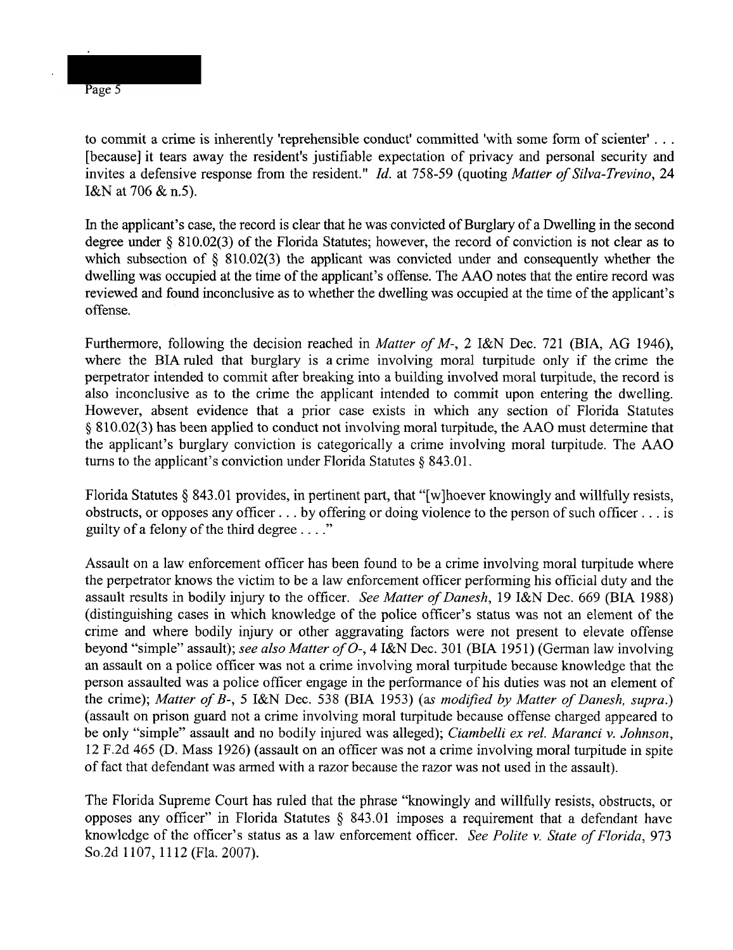Page 5

to commit a crime is inherently 'reprehensible conduct' committed 'with some form of scienter' . . . [because] it tears away the resident's justifiable expectation of privacy and personal security and invites a defensive response from the resident." Id. at 758-59 (quoting Matter of Silva-Trevino, 24 I&N at 706 & n.5).

In the applicant's case, the record is clear that he was convicted of Burglary of a Dwelling in the second degree under *5* 810.02(3) of the Florida Statutes; however, the record of conviction is not clear as to which subsection of  $\S$  810.02(3) the applicant was convicted under and consequently whether the dwelling was occupied at the time of the applicant's offense. The **AAO** notes that the entire record was reviewed and found inconclusive as to whether the dwelling was occupied at the time of the applicant's offense.

Furthermore, following the decision reached in *Matter of M*-, 2 I&N Dec. 721 (BIA, AG 1946), where the BIA ruled that burglary is a crime involving moral turpitude only if the crime the perpetrator intended to commit after breaking into a building involved moral turpitude, the record is also inconclusive as to the crime the applicant intended to commit upon entering the dwelling. However, absent evidence that a prior case exists in which any section of Florida Statutes **9** 810.02(3) has been applied to conduct not involving moral turpitude, the **AAO** must determine that the applicant's burglary conviction is categorically a crime involving moral turpitude. The AAO turns to the applicant's conviction under Florida Statutes *5* 843.01.

Florida Statutes § 843.01 provides, in pertinent part, that "[w]hoever knowingly and willfully resists, obstructs, or opposes any officer . . . by offering or doing violence to the person of such officer . . . is guilty of a felony of the third degree  $\dots$ ."

Assault on a law enforcement officer has been found to be a crime involving moral turpitude where the perpetrator knows the victim to be a law enforcement officer performing his official duty and the assault results in bodily injury to the officer. See Matter of Danesh, 19 I&N Dec. 669 (BIA 1988) (distinguishing cases in which knowledge of the police officer's status was not an element of the crime and where bodily injury or other aggravating factors were not present to elevate offense beyond "simple" assault); see also Matter of O-, 4 I&N Dec. 301 (BIA 1951) (German law involving an assault on a police officer was not a crime involving moral turpitude because knowledge that the person assaulted was a police officer engage in the performance of his duties was not an element of the crime); Matter of B-, 5 I&N Dec. 538 (BIA 1953) (as modified by Matter of Danesh, supra.) (assault on prison guard not a crime involving moral turpitude because offense charged appeared to be only "simple" assault and no bodily injured was alleged); Ciambelli ex rel. Maranci v. Johnson, 12 F.2d 465 (D. Mass 1926) (assault on an officer was not a crime involving moral turpitude in spite of fact that defendant was armed with a razor because the razor was not used in the assault).

The Florida Supreme Court has ruled that the phrase "knowingly and willfully resists, obstructs, or opposes any officer" in Florida Statutes \$ 843.01 imposes a requirement that a defendant have knowledge of the officer's status as a law enforcement officer. See Polite v. State of Florida, 973 So.2d 1107, 1112 (Fla. 2007).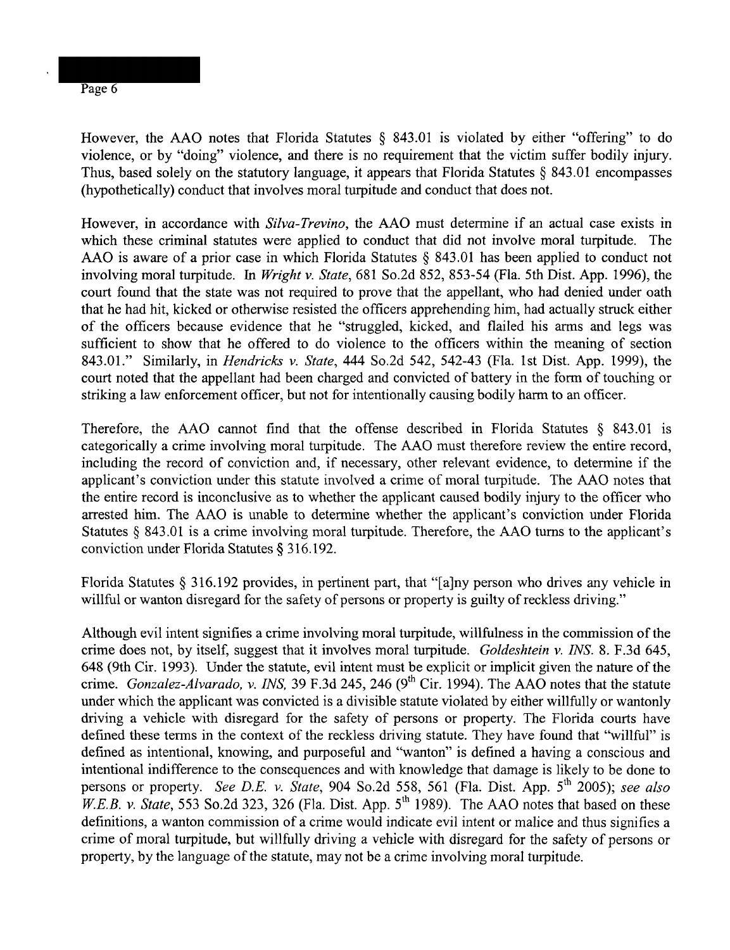However, the AAO notes that Florida Statutes  $\S$  843.01 is violated by either "offering" to do violence, or by "doing" violence, and there is no requirement that the victim suffer bodily injury. Thus, based solely on the statutory language, it appears that Florida Statutes  $\S$  843.01 encompasses (hypothetically) conduct that involves moral turpitude and conduct that does not.

However, in accordance with *Silva-Trevino*, the AAO must determine if an actual case exists in which these criminal statutes were applied to conduct that did not involve moral turpitude. The AAO is aware of a prior case in which Florida Statutes  $\S$  843.01 has been applied to conduct not involving moral turpitude. In *Wright v. State*, 681 So.2d 852, 853-54 (Fla. 5th Dist. App. 1996), the court found that the state was not required to prove that the appellant, who had denied under oath that he had hit, kicked or otherwise resisted the officers apprehending him, had actually struck either of the officers because evidence that he "struggled, kicked, and flailed his arms and legs was sufficient to show that he offered to do violence to the officers within the meaning of section 843.01." Similarly, in *Hendricks v. State*, 444 So.2d 542, 542-43 (Fla. 1st Dist. App. 1999), the court noted that the appellant had been charged and convicted of battery in the form of touching or striking a law enforcement officer, but not for intentionally causing bodily harm to an officer.

Therefore, the AAO cannot find that the offense described in Florida Statutes  $\S$  843.01 is categorically a crime involving moral turpitude. The AAO must therefore review the entire record, including the record of conviction and, if necessary, other relevant evidence, to determine if the applicant's conviction under this statute involved a crime of moral turpitude. The AAO notes that the entire record is inconclusive as to whether the applicant caused bodily injury to the officer who arrested him. The AAO is unable to determine whether the applicant's conviction under Florida Statutes § 843.01 is a crime involving moral turpitude. Therefore, the AAO turns to the applicant's conviction under Florida Statutes 316.192.

Florida Statutes \$ 316.192 provides, in pertinent part, that "[alny person who drives any vehicle in willful or wanton disregard for the safety of persons or property is guilty of reckless driving."

Although evil intent signifies a crime involving moral turpitude, willfulness in the commission of the crime does not, by itself, suggest that it involves moral turpitude. Goldeshtein v. INS. 8. F.3d 645, 648 (9th Cir. 1993). Under the statute, evil intent must be explicit or implicit given the nature of the crime. Gonzalez-Alvarado, v. INS, 39 F.3d 245, 246 (9<sup>th</sup> Cir. 1994). The AAO notes that the statute under which the applicant was convicted is a divisible statute violated by either willfully or wantonly driving a vehicle with disregard for the safety of persons or property. The Florida courts have defined these terms in the context of the reckless driving statute. They have found that "willful" is defined as intentional, knowing, and purposeful and "wanton" is defined a having a conscious and intentional indifference to the consequences and with knowledge that damage is likely to be done to persons or property. See D.E. v. State, 904 So.2d 558, 561 (Fla. Dist. App. 5<sup>th</sup> 2005); see also *W.E.B. v. State*, 553 So.2d 323, 326 (Fla. Dist. App.  $5<sup>th</sup>$  1989). The AAO notes that based on these definitions, a wanton commission of a crime would indicate evil intent or malice and thus signifies a crime of moral turpitude, but willfully driving a vehicle with disregard for the safety of persons or property, by the language of the statute, may not be a crime involving moral turpitude.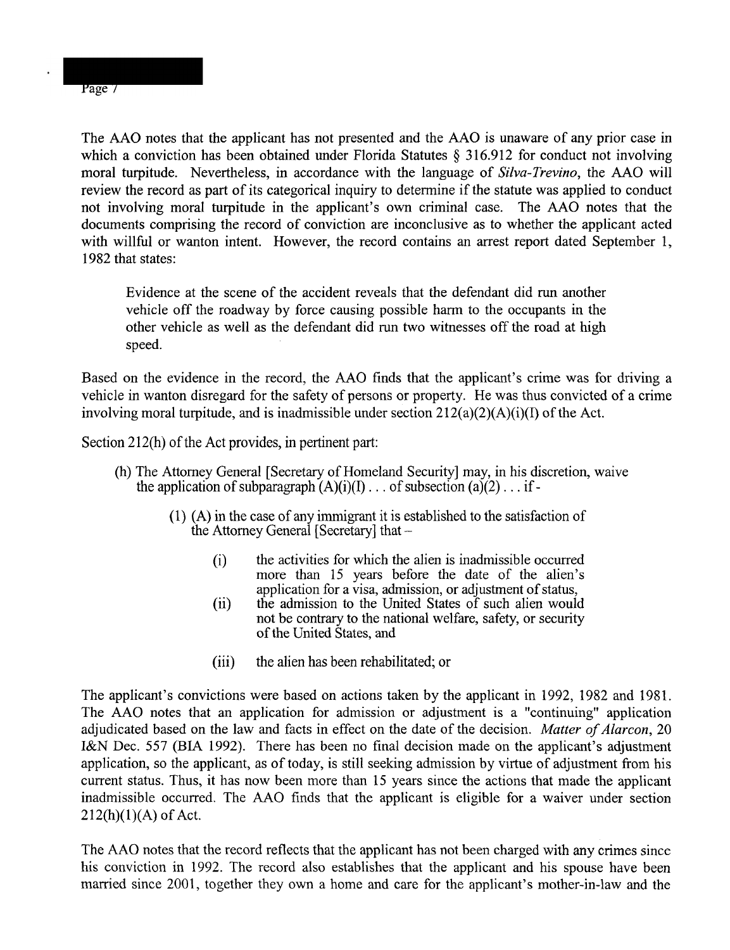The AAO notes that the applicant has not presented and the AAO is unaware of any prior case in which a conviction has been obtained under Florida Statutes *5* 316.912 for conduct not involving moral turpitude. Nevertheless, in accordance with the language of Silva-Trevino, the AAO will review the record as part of its categorical inquiry to determine if the statute was applied to conduct not involving moral turpitude in the applicant's own criminal case. The AAO notes that the documents comprising the record of conviction are inconclusive as to whether the applicant acted with willful or wanton intent. However, the record contains an arrest report dated September 1,

Evidence at the scene of the accident reveals that the defendant did run another vehicle off the roadway by force causing possible harm to the occupants in the other vehicle as well as the defendant did run two witnesses off the road at high speed.

Based on the evidence in the record, the AAO finds that the applicant's crime was for driving a vehicle in wanton disregard for the safety of persons or property. He was thus convicted of a crime involving moral turpitude, and is inadmissible under section 212(a)(2)(A)(i)(I) of the Act.

Section 212(h) of the Act provides, in pertinent part:

- (h) The Attorney General [Secretary of Homeland Security] may, in his discretion, waive the application of subparagraph  $(A)(i)(I) \dots$  of subsection  $(a)(2) \dots$  if -
	- (I) (A) in the case of any immigrant it is established to the satisfaction of the Attorney General [Secretary] that -
		- (i) the activities for which the alien is inadmissible occurred more than 15 years before the date of the alien's application for a visa, admission, or adjustment of status,
		- (ii) the admission to the United States of such alien would not be contrary to the national welfare, safety, or security of the United States, and
		- (iii) the alien has been rehabilitated; or

The applicant's convictions were based on actions taken by the applicant in 1992, 1982 and 1981. The AAO notes that an application for admission or adjustment is a "continuing" application adjudicated based on the law and facts in effect on the date of the decision. Matter of Alarcon, 20 I&N Dec. 557 (BIA 1992). There has been no final decision made on the applicant's adjustment application, so the applicant, as of today, is still seeking admission by virtue of adjustment from his current status. Thus, it has now been more than 15 years since the actions that made the applicant inadmissible occurred. The AAO finds that the applicant is eligible for a waiver under section  $212(h)(1)(A)$  of Act.

The AAO notes that the record reflects that the applicant has not been charged with any crimes since his conviction in 1992. The record also establishes that the applicant and his spouse have been married since 2001, together they own a home and care for the applicant's mother-in-law and the

Page 7

1982 that states: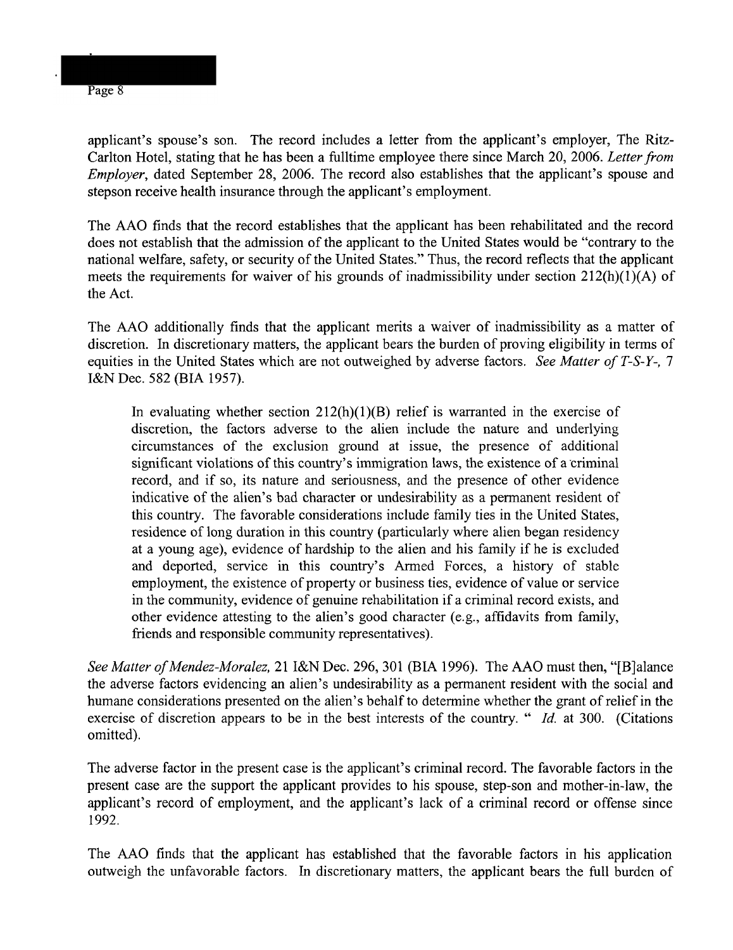applicant's spouse's son. The record includes a letter from the applicant's employer, The Ritz-Carlton Hotel, stating that he has been a fulltime employee there since March 20, 2006. Letter from Employer, dated September 28, 2006. The record also establishes that the applicant's spouse and

stepson receive health insurance through the applicant's employment.

The AAO finds that the record establishes that the applicant has been rehabilitated and the record does not establish that the admission of the applicant to the United States would be "contrary to the national welfare, safety, or security of the United States." Thus, the record reflects that the applicant meets the requirements for waiver of his grounds of inadmissibility under section  $212(h)(1)(A)$  of the Act.

The AAO additionally finds that the applicant merits a waiver of inadmissibility as a matter of discretion. In discretionary matters, the applicant bears the burden of proving eligibility in terms of equities in the United States which are not outweighed by adverse factors. See Matter of T-S-Y-, 7 I&N Dec. 582 (BIA 1957).

In evaluating whether section  $212(h)(1)(B)$  relief is warranted in the exercise of discretion, the factors adverse to the alien include the nature and underlying circumstances of the exclusion ground at issue, the presence of additional significant violations of this country's immigration laws, the existence of a criminal record, and if so, its nature and seriousness, and the presence of other evidence indicative of the alien's bad character or undesirability as a permanent resident of this country. The favorable considerations include family ties in the United States, residence of long duration in this country (particularly where alien began residency at a young age), evidence of hardship to the alien and his family if he is excluded and deported, service in this country's Armed Forces, a history of stable employment, the existence of property or business ties, evidence of value or service in the community, evidence of genuine rehabilitation if a criminal record exists, and other evidence attesting to the alien's good character (e.g., affidavits from family, friends and responsible community representatives).

See Matter of Mendez-Moralez, 21 I&N Dec. 296, 301 (BIA 1996). The AAO must then, "[B]alance the adverse factors evidencing an alien's undesirability as a permanent resident with the social and humane considerations presented on the alien's behalf to determine whether the grant of relief in the exercise of discretion appears to be in the best interests of the country. " *Id.* at 300. (Citations omitted).

The adverse factor in the present case is the applicant's criminal record. The favorable factors in the present case are the support the applicant provides to his spouse, step-son and mother-in-law, the applicant's record of employment, and the applicant's lack of a criminal record or offense since 1992.

The AAO finds that the applicant has established that the favorable factors in his application outweigh the unfavorable factors. In discretionary matters, the applicant bears the full burden of